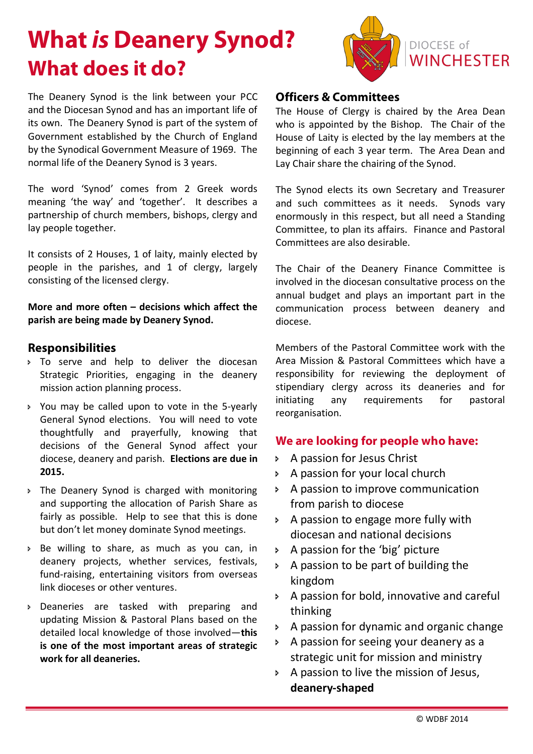# **What** *is* **Deanery Synod? What does it do?**



The Deanery Synod is the link between your PCC and the Diocesan Synod and has an important life of its own. The Deanery Synod is part of the system of Government established by the Church of England by the Synodical Government Measure of 1969. The normal life of the Deanery Synod is 3 years.

The word 'Synod' comes from 2 Greek words meaning 'the way' and 'together'. It describes a partnership of church members, bishops, clergy and lay people together.

It consists of 2 Houses, 1 of laity, mainly elected by people in the parishes, and 1 of clergy, largely consisting of the licensed clergy.

**More and more often – decisions which affect the parish are being made by Deanery Synod.** 

#### **Responsibilities**

- > To serve and help to deliver the diocesan Strategic Priorities, engaging in the deanery mission action planning process.
- > You may be called upon to vote in the 5-yearly General Synod elections. You will need to vote thoughtfully and prayerfully, knowing that decisions of the General Synod affect your diocese, deanery and parish. **Elections are due in 2015.**
- > The Deanery Synod is charged with monitoring and supporting the allocation of Parish Share as fairly as possible. Help to see that this is done but don't let money dominate Synod meetings.
- **Be willing to share, as much as you can, in** deanery projects, whether services, festivals, fund-raising, entertaining visitors from overseas link dioceses or other ventures.
- **Deaneries are tasked with preparing and** updating Mission & Pastoral Plans based on the detailed local knowledge of those involved—**this is one of the most important areas of strategic work for all deaneries.**

#### **Officers & Committees**

The House of Clergy is chaired by the Area Dean who is appointed by the Bishop. The Chair of the House of Laity is elected by the lay members at the beginning of each 3 year term. The Area Dean and Lay Chair share the chairing of the Synod.

The Synod elects its own Secretary and Treasurer and such committees as it needs. Synods vary enormously in this respect, but all need a Standing Committee, to plan its affairs. Finance and Pastoral Committees are also desirable.

The Chair of the Deanery Finance Committee is involved in the diocesan consultative process on the annual budget and plays an important part in the communication process between deanery and diocese.

Members of the Pastoral Committee work with the Area Mission & Pastoral Committees which have a responsibility for reviewing the deployment of stipendiary clergy across its deaneries and for initiating any requirements for pastoral reorganisation.

### **We are looking for people who have:**

- **A passion for Jesus Christ**
- **A passion for your local church**
- A passion to improve communication from parish to diocese
- > A passion to engage more fully with diocesan and national decisions
- $\triangleright$  A passion for the 'big' picture
- $\triangleright$  A passion to be part of building the kingdom
- **A passion for bold, innovative and careful** thinking
- $\rightarrow$  A passion for dynamic and organic change
- **EX A passion for seeing your deanery as a** strategic unit for mission and ministry
- $\triangleright$  A passion to live the mission of Jesus, **deanery-shaped**